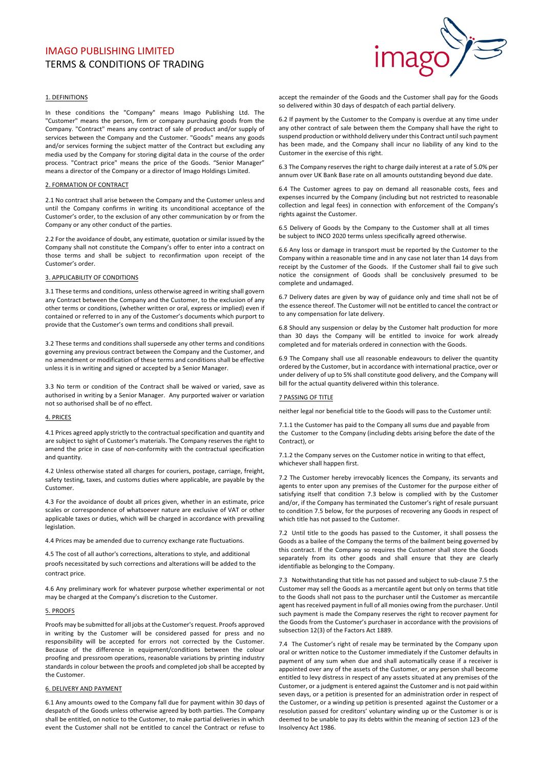# IMAGO PUBLISHING LIMITED **TERMS & CONDITIONS OF TRADING**



# 1. DEFINITIONS

In these conditions the "Company" means Imago Publishing Ltd. The "Customer" means the person, firm or company purchasing goods from the Company. "Contract" means any contract of sale of product and/or supply of services between the Company and the Customer. "Goods" means any goods and/or services forming the subject matter of the Contract but excluding any media used by the Company for storing digital data in the course of the order process. "Contract price" means the price of the Goods. "Senior Manager" means a director of the Company or a director of Imago Holdings Limited.

#### 2. FORMATION OF CONTRACT

2.1 No contract shall arise between the Company and the Customer unless and until the Company confirms in writing its unconditional acceptance of the Customer's order, to the exclusion of any other communication by or from the Company or any other conduct of the parties.

2.2 For the avoidance of doubt, any estimate, quotation or similar issued by the Company shall not constitute the Company's offer to enter into a contract on those terms and shall be subject to reconfirmation upon receipt of the Customer's order.

#### 3. APPLICABILITY OF CONDITIONS

3.1 These terms and conditions, unless otherwise agreed in writing shall govern any Contract between the Company and the Customer, to the exclusion of any other terms or conditions, (whether written or oral, express or implied) even if contained or referred to in any of the Customer's documents which purport to provide that the Customer's own terms and conditions shall prevail.

3.2 These terms and conditions shall supersede any other terms and conditions governing any previous contract between the Company and the Customer, and no amendment or modification of these terms and conditions shall be effective unless it is in writing and signed or accepted by a Senior Manager.

3.3 No term or condition of the Contract shall be waived or varied, save as authorised in writing by a Senior Manager. Any purported waiver or variation not so authorised shall be of no effect.

## 4. PRICES

4.1 Prices agreed apply strictly to the contractual specification and quantity and are subject to sight of Customer's materials. The Company reserves the right to amend the price in case of non-conformity with the contractual specification and quantity.

4.2 Unless otherwise stated all charges for couriers, postage, carriage, freight, safety testing, taxes, and customs duties where applicable, are payable by the Customer. 

4.3 For the avoidance of doubt all prices given, whether in an estimate, price scales or correspondence of whatsoever nature are exclusive of VAT or other applicable taxes or duties, which will be charged in accordance with prevailing legislation.

4.4 Prices may be amended due to currency exchange rate fluctuations.

4.5 The cost of all author's corrections, alterations to style, and additional proofs necessitated by such corrections and alterations will be added to the contract price.

4.6 Any preliminary work for whatever purpose whether experimental or not may be charged at the Company's discretion to the Customer.

#### 5. PROOFS

Proofs may be submitted for all jobs at the Customer's request. Proofs approved in writing by the Customer will be considered passed for press and no responsibility will be accepted for errors not corrected by the Customer. Because of the difference in equipment/conditions between the colour proofing and pressroom operations, reasonable variations by printing industry standards in colour between the proofs and completed job shall be accepted by the Customer.

## 6. DELIVERY AND PAYMENT

6.1 Any amounts owed to the Company fall due for payment within 30 days of despatch of the Goods unless otherwise agreed by both parties. The Company shall be entitled, on notice to the Customer, to make partial deliveries in which event the Customer shall not be entitled to cancel the Contract or refuse to accept the remainder of the Goods and the Customer shall pay for the Goods so delivered within 30 days of despatch of each partial delivery.

6.2 If payment by the Customer to the Company is overdue at any time under any other contract of sale between them the Company shall have the right to suspend production or withhold delivery under this Contract until such payment has been made, and the Company shall incur no liability of any kind to the Customer in the exercise of this right.

6.3 The Company reserves the right to charge daily interest at a rate of 5.0% per annum over UK Bank Base rate on all amounts outstanding beyond due date.

6.4 The Customer agrees to pay on demand all reasonable costs, fees and expenses incurred by the Company (including but not restricted to reasonable collection and legal fees) in connection with enforcement of the Company's rights against the Customer.

6.5 Delivery of Goods by the Company to the Customer shall at all times be subiect to INCO 2020 terms unless specifically agreed otherwise.

6.6 Any loss or damage in transport must be reported by the Customer to the Company within a reasonable time and in any case not later than 14 days from receipt by the Customer of the Goods. If the Customer shall fail to give such notice the consignment of Goods shall be conclusively presumed to be complete and undamaged.

6.7 Delivery dates are given by way of guidance only and time shall not be of the essence thereof. The Customer will not be entitled to cancel the contract or to any compensation for late delivery.

6.8 Should any suspension or delay by the Customer halt production for more than 30 days the Company will be entitled to invoice for work already completed and for materials ordered in connection with the Goods.

6.9 The Company shall use all reasonable endeavours to deliver the quantity ordered by the Customer, but in accordance with international practice, over or under delivery of up to 5% shall constitute good delivery, and the Company will bill for the actual quantity delivered within this tolerance.

## **7 PASSING OF TITLE**

neither legal nor beneficial title to the Goods will pass to the Customer until:

7.1.1 the Customer has paid to the Company all sums due and payable from the Customer to the Company (including debts arising before the date of the Contract), or

7.1.2 the Company serves on the Customer notice in writing to that effect, whichever shall happen first.

7.2 The Customer hereby irrevocably licences the Company, its servants and agents to enter upon any premises of the Customer for the purpose either of satisfying itself that condition 7.3 below is complied with by the Customer and/or, if the Company has terminated the Customer's right of resale pursuant to condition 7.5 below, for the purposes of recovering any Goods in respect of which title has not passed to the Customer.

7.2 Until title to the goods has passed to the Customer, it shall possess the Goods as a bailee of the Company the terms of the bailment being governed by this contract. If the Company so requires the Customer shall store the Goods separately from its other goods and shall ensure that they are clearly identifiable as belonging to the Company.

7.3 Notwithstanding that title has not passed and subject to sub-clause 7.5 the Customer may sell the Goods as a mercantile agent but only on terms that title to the Goods shall not pass to the purchaser until the Customer as mercantile agent has received payment in full of all monies owing from the purchaser. Until such payment is made the Company reserves the right to recover payment for the Goods from the Customer's purchaser in accordance with the provisions of subsection 12(3) of the Factors Act 1889.

7.4 The Customer's right of resale may be terminated by the Company upon oral or written notice to the Customer immediately if the Customer defaults in payment of any sum when due and shall automatically cease if a receiver is appointed over any of the assets of the Customer, or any person shall become entitled to levy distress in respect of any assets situated at any premises of the Customer, or a judgment is entered against the Customer and is not paid within seven days, or a petition is presented for an administration order in respect of the Customer, or a winding up petition is presented against the Customer or a resolution passed for creditors' voluntary winding up or the Customer is or is deemed to be unable to pay its debts within the meaning of section 123 of the Insolvency Act 1986.